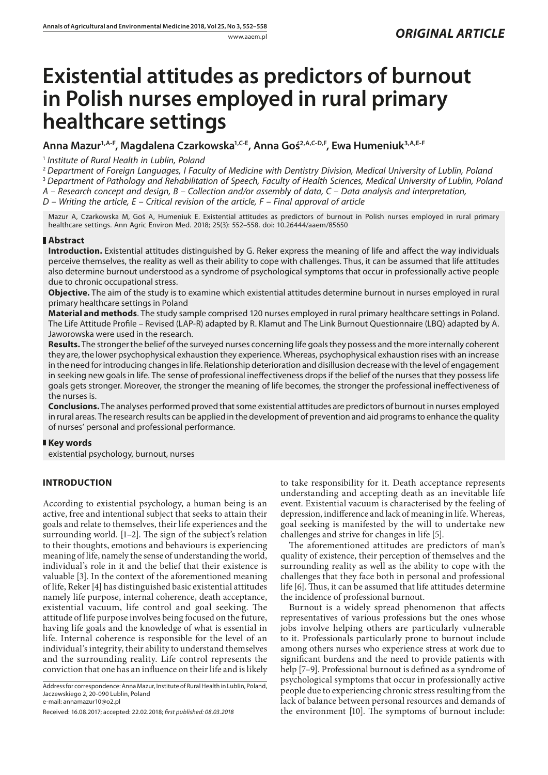# **Existential attitudes as predictors of burnout in Polish nurses employed in rural primary healthcare settings**

**Anna Mazur1,A-F, Magdalena Czarkowska1,C-E, Anna Goś2,A,C-D,F, Ewa Humeniuk3,A,E-F**

<sup>1</sup> *Institute of Rural Health in Lublin, Poland*

<sup>2</sup> *Department of Foreign Languages, I Faculty of Medicine with Dentistry Division, Medical University of Lublin, Poland* <sup>3</sup> *Department of Pathology and Rehabilitation of Speech, Faculty of Health Sciences, Medical University of Lublin, Poland A – Research concept and design, B – Collection and/or assembly of data, C – Data analysis and interpretation,* 

*D – Writing the article, E – Critical revision of the article, F – Final approval of article*

Mazur A, Czarkowska M, Goś A, Humeniuk E. Existential attitudes as predictors of burnout in Polish nurses employed in rural primary healthcare settings. Ann Agric Environ Med. 2018; 25(3): 552–558. doi: 10.26444/aaem/85650

# **Abstract**

**Introduction.** Existential attitudes distinguished by G. Reker express the meaning of life and affect the way individuals perceive themselves, the reality as well as their ability to cope with challenges. Thus, it can be assumed that life attitudes also determine burnout understood as a syndrome of psychological symptoms that occur in professionally active people due to chronic occupational stress.

**Objective.** The aim of the study is to examine which existential attitudes determine burnout in nurses employed in rural primary healthcare settings in Poland

**Material and methods**. The study sample comprised 120 nurses employed in rural primary healthcare settings in Poland. The Life Attitude Profile – Revised (LAP-R) adapted by R. Klamut and The Link Burnout Questionnaire (LBQ) adapted by A. Jaworowska were used in the research.

**Results.** The strongerthe belief of the surveyed nurses concerning life goals they possess and the more internally coherent they are, the lower psychophysical exhaustion they experience. Whereas, psychophysical exhaustion rises with an increase in the need for introducing changes in life. Relationship deterioration and disillusion decrease with the level of engagement in seeking new goals in life. The sense of professional ineffectiveness drops if the belief of the nurses that they possess life goals gets stronger. Moreover, the stronger the meaning of life becomes, the stronger the professional ineffectiveness of the nurses is.

**Conclusions.** The analyses performed proved that some existential attitudes are predictors of burnout in nurses employed in rural areas. The research results can be applied in the development of prevention and aid programs to enhance the quality of nurses' personal and professional performance.

# **Key words**

existential psychology, burnout, nurses

# **INTRODUCTION**

According to existential psychology, a human being is an active, free and intentional subject that seeks to attain their goals and relate to themselves, their life experiences and the surrounding world. [1–2]. The sign of the subject's relation to their thoughts, emotions and behaviours is experiencing meaning of life, namely the sense of understanding the world, individual's role in it and the belief that their existence is valuable [3]. In the context of the aforementioned meaning of life, Reker [4] has distinguished basic existential attitudes namely life purpose, internal coherence, death acceptance, existential vacuum, life control and goal seeking. The attitude of life purpose involves being focused on the future, having life goals and the knowledge of what is essential in life. Internal coherence is responsible for the level of an individual's integrity, their ability to understand themselves and the surrounding reality. Life control represents the conviction that one has an influence on their life and is likely

Address for correspondence: Anna Mazur, Institute of Rural Health in Lublin, Poland, Jaczewskiego 2, 20-090 Lublin, Poland e-mail: annamazur10@o2.pl

to take responsibility for it. Death acceptance represents understanding and accepting death as an inevitable life event. Existential vacuum is characterised by the feeling of depression, indifference and lack of meaning in life. Whereas, goal seeking is manifested by the will to undertake new challenges and strive for changes in life [5].

The aforementioned attitudes are predictors of man's quality of existence, their perception of themselves and the surrounding reality as well as the ability to cope with the challenges that they face both in personal and professional life [6]. Thus, it can be assumed that life attitudes determine the incidence of professional burnout.

Burnout is a widely spread phenomenon that affects representatives of various professions but the ones whose jobs involve helping others are particularly vulnerable to it. Professionals particularly prone to burnout include among others nurses who experience stress at work due to significant burdens and the need to provide patients with help [7–9]. Professional burnout is defined as a syndrome of psychological symptoms that occur in professionally active people due to experiencing chronic stress resulting from the lack of balance between personal resources and demands of the environment [10]. The symptoms of burnout include:

Received: 16.08.2017; accepted: 22.02.2018; *first published: 08.03.2018*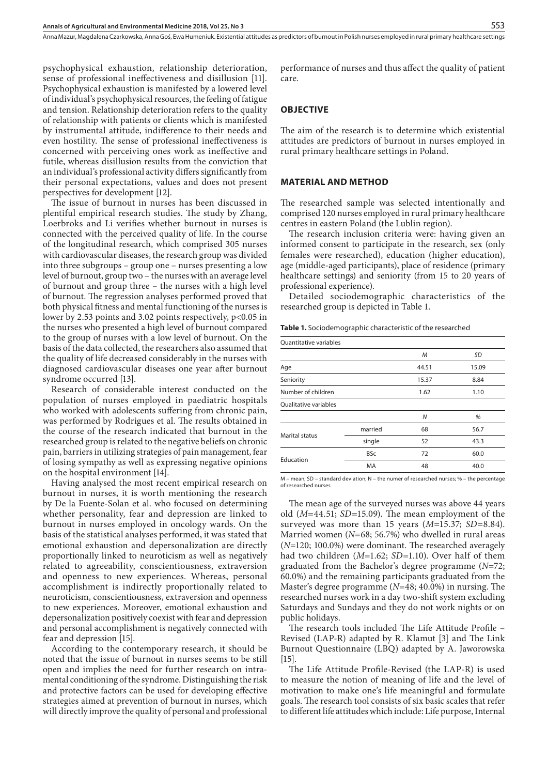psychophysical exhaustion, relationship deterioration, sense of professional ineffectiveness and disillusion [11]. Psychophysical exhaustion is manifested by a lowered level of individual's psychophysical resources, the feeling of fatigue and tension. Relationship deterioration refers to the quality of relationship with patients or clients which is manifested by instrumental attitude, indifference to their needs and even hostility. The sense of professional ineffectiveness is concerned with perceiving ones work as ineffective and futile, whereas disillusion results from the conviction that an individual's professional activity differs significantly from their personal expectations, values and does not present perspectives for development [12].

The issue of burnout in nurses has been discussed in plentiful empirical research studies. The study by Zhang, Loerbroks and Li verifies whether burnout in nurses is connected with the perceived quality of life. In the course of the longitudinal research, which comprised 305 nurses with cardiovascular diseases, the research group was divided into three subgroups – group one – nurses presenting a low level of burnout, group two – the nurses with an average level of burnout and group three – the nurses with a high level of burnout. The regression analyses performed proved that both physical fitness and mental functioning of the nurses is lower by 2.53 points and 3.02 points respectively, p<0.05 in the nurses who presented a high level of burnout compared to the group of nurses with a low level of burnout. On the basis of the data collected, the researchers also assumed that the quality of life decreased considerably in the nurses with diagnosed cardiovascular diseases one year after burnout syndrome occurred [13].

Research of considerable interest conducted on the population of nurses employed in paediatric hospitals who worked with adolescents suffering from chronic pain, was performed by Rodrigues et al. The results obtained in the course of the research indicated that burnout in the researched group is related to the negative beliefs on chronic pain, barriers in utilizing strategies of pain management, fear of losing sympathy as well as expressing negative opinions on the hospital environment [14].

Having analysed the most recent empirical research on burnout in nurses, it is worth mentioning the research by De la Fuente-Solan et al. who focused on determining whether personality, fear and depression are linked to burnout in nurses employed in oncology wards. On the basis of the statistical analyses performed, it was stated that emotional exhaustion and depersonalization are directly proportionally linked to neuroticism as well as negatively related to agreeability, conscientiousness, extraversion and openness to new experiences. Whereas, personal accomplishment is indirectly proportionally related to neuroticism, conscientiousness, extraversion and openness to new experiences. Moreover, emotional exhaustion and depersonalization positively coexist with fear and depression and personal accomplishment is negatively connected with fear and depression [15].

According to the contemporary research, it should be noted that the issue of burnout in nurses seems to be still open and implies the need for further research on intramental conditioning of the syndrome. Distinguishing the risk and protective factors can be used for developing effective strategies aimed at prevention of burnout in nurses, which will directly improve the quality of personal and professional performance of nurses and thus affect the quality of patient care.

## **OBJECTIVE**

The aim of the research is to determine which existential attitudes are predictors of burnout in nurses employed in rural primary healthcare settings in Poland.

#### **MATERIAL AND METHOD**

The researched sample was selected intentionally and comprised 120 nurses employed in rural primary healthcare centres in eastern Poland (the Lublin region).

The research inclusion criteria were: having given an informed consent to participate in the research, sex (only females were researched), education (higher education), age (middle-aged participants), place of residence (primary healthcare settings) and seniority (from 15 to 20 years of professional experience).

Detailed sociodemographic characteristics of the researched group is depicted in Table 1.

**Table 1.** Sociodemographic characteristic of the researched

Quantitative variables

|                       |            | M     | <b>SD</b> |
|-----------------------|------------|-------|-----------|
| Age                   |            | 44.51 | 15.09     |
| Seniority             |            | 15.37 | 8.84      |
| Number of children    |            | 1.62  | 1.10      |
| Qualitative variables |            |       |           |
|                       |            | N     | %         |
| <b>Marital status</b> | married    | 68    | 56.7      |
|                       | single     | 52    | 43.3      |
|                       | <b>BSc</b> | 72    | 60.0      |
| Education             | MA         | 48    | 40.0      |
|                       |            |       |           |

M – mean; SD – standard deviation; N – the numer of researched nurses; % – the percentage of researched nurses

The mean age of the surveyed nurses was above 44 years old (*M*=44.51; *SD*=15.09). The mean employment of the surveyed was more than 15 years (*M*=15.37; *SD*=8.84). Married women (*N*=68; 56.7%) who dwelled in rural areas (*N*=120; 100.0%) were dominant. The researched averagely had two children (*M*=1.62; *SD*=1.10). Over half of them graduated from the Bachelor's degree programme (*N*=72; 60.0%) and the remaining participants graduated from the Master's degree programme (*N*=48; 40.0%) in nursing. The researched nurses work in a day two-shift system excluding Saturdays and Sundays and they do not work nights or on public holidays.

The research tools included The Life Attitude Profile – Revised (LAP-R) adapted by R. Klamut [3] and The Link Burnout Questionnaire (LBQ) adapted by A. Jaworowska [15].

The Life Attitude Profile-Revised (the LAP-R) is used to measure the notion of meaning of life and the level of motivation to make one's life meaningful and formulate goals. The research tool consists of six basic scales that refer to different life attitudes which include: Life purpose, Internal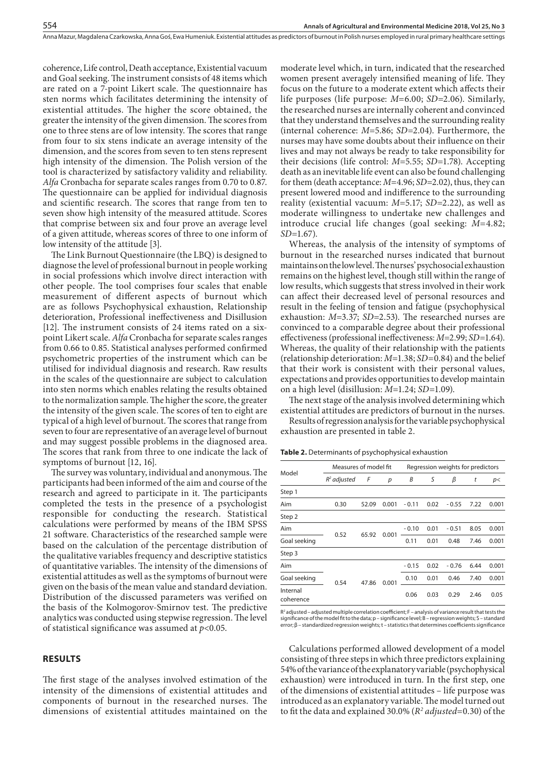coherence, Life control, Death acceptance, Existential vacuum and Goal seeking. The instrument consists of 48 items which are rated on a 7-point Likert scale. The questionnaire has sten norms which facilitates determining the intensity of existential attitudes. The higher the score obtained, the greater the intensity of the given dimension. The scores from one to three stens are of low intensity. The scores that range from four to six stens indicate an average intensity of the dimension, and the scores from seven to ten stens represent high intensity of the dimension. The Polish version of the tool is characterized by satisfactory validity and reliability. *Alfa* Cronbacha for separate scales ranges from 0.70 to 0.87. The questionnaire can be applied for individual diagnosis and scientific research. The scores that range from ten to seven show high intensity of the measured attitude. Scores that comprise between six and four prove an average level of a given attitude, whereas scores of three to one inform of low intensity of the attitude [3].

The Link Burnout Questionnaire (the LBQ) is designed to diagnose the level of professional burnout in people working in social professions which involve direct interaction with other people. The tool comprises four scales that enable measurement of different aspects of burnout which are as follows Psychophysical exhaustion, Relationship deterioration, Professional ineffectiveness and Disillusion [12]. The instrument consists of 24 items rated on a sixpoint Likert scale. *Alfa* Cronbacha for separate scales ranges from 0.66 to 0.85. Statistical analyses performed confirmed psychometric properties of the instrument which can be utilised for individual diagnosis and research. Raw results in the scales of the questionnaire are subject to calculation into sten norms which enables relating the results obtained to the normalization sample. The higher the score, the greater the intensity of the given scale. The scores of ten to eight are typical of a high level of burnout. The scores that range from seven to four are representative of an average level of burnout and may suggest possible problems in the diagnosed area. The scores that rank from three to one indicate the lack of symptoms of burnout [12, 16].

The survey was voluntary, individual and anonymous. The participants had been informed of the aim and course of the research and agreed to participate in it. The participants completed the tests in the presence of a psychologist responsible for conducting the research. Statistical calculations were performed by means of the IBM SPSS 21 software. Characteristics of the researched sample were based on the calculation of the percentage distribution of the qualitative variables frequency and descriptive statistics of quantitative variables. The intensity of the dimensions of existential attitudes as well as the symptoms of burnout were given on the basis of the mean value and standard deviation. Distribution of the discussed parameters was verified on the basis of the Kolmogorov-Smirnov test. The predictive analytics was conducted using stepwise regression. The level of statistical significance was assumed at *p*<0.05.

# **RESULTS**

The first stage of the analyses involved estimation of the intensity of the dimensions of existential attitudes and components of burnout in the researched nurses. The dimensions of existential attitudes maintained on the

moderate level which, in turn, indicated that the researched women present averagely intensified meaning of life. They focus on the future to a moderate extent which affects their life purposes (life purpose: *M*=6.00; *SD*=2.06). Similarly, the researched nurses are internally coherent and convinced that they understand themselves and the surrounding reality (internal coherence: *M*=5.86; *SD*=2.04). Furthermore, the nurses may have some doubts about their influence on their lives and may not always be ready to take responsibility for their decisions (life control: *M*=5.55; *SD*=1.78). Accepting death as an inevitable life event can also be found challenging for them (death acceptance: *M*=4.96; *SD*=2.02), thus, they can present lowered mood and indifference to the surrounding reality (existential vacuum: *M*=5.17; *SD*=2.22), as well as moderate willingness to undertake new challenges and introduce crucial life changes (goal seeking: *M*=4.82; *SD*=1.67).

Whereas, the analysis of the intensity of symptoms of burnout in the researched nurses indicated that burnout maintains on the low level. The nurses' psychosocial exhaustion remains on the highest level, though still within the range of low results, which suggests that stress involved in their work can affect their decreased level of personal resources and result in the feeling of tension and fatigue (psychophysical exhaustion: *M*=3.37; *SD*=2.53). The researched nurses are convinced to a comparable degree about their professional effectiveness (professional ineffectiveness: *M*=2.99; *SD*=1.64). Whereas, the quality of their relationship with the patients (relationship deterioration: *M*=1.38; *SD*=0.84) and the belief that their work is consistent with their personal values, expectations and provides opportunities to develop maintain on a high level (disillusion: *M*=1.24; *SD*=1.09).

The next stage of the analysis involved determining which existential attitudes are predictors of burnout in the nurses.

Results of regression analysis for the variable psychophysical exhaustion are presented in table 2.

**Table 2.** Determinants of psychophysical exhaustion

| Model                 | Measures of model fit | Regression weights for predictors |       |         |      |         |      |       |
|-----------------------|-----------------------|-----------------------------------|-------|---------|------|---------|------|-------|
|                       | $R2$ adjusted         | F                                 | р     | B       | S    | β       | t    | p<    |
| Step 1                |                       |                                   |       |         |      |         |      |       |
| Aim                   | 0.30                  | 52.09                             | 0.001 | $-0.11$ | 0.02 | $-0.55$ | 7.22 | 0.001 |
| Step 2                |                       |                                   |       |         |      |         |      |       |
| Aim                   | 0.52                  | 65.92                             | 0.001 | $-0.10$ | 0.01 | $-0.51$ | 8.05 | 0.001 |
| Goal seeking          |                       |                                   |       | 0.11    | 0.01 | 0.48    | 7.46 | 0.001 |
| Step 3                |                       |                                   |       |         |      |         |      |       |
| Aim                   |                       | 47.86                             | 0.001 | $-0.15$ | 0.02 | $-0.76$ | 6.44 | 0.001 |
| Goal seeking          | 0.54                  |                                   |       | 0.10    | 0.01 | 0.46    | 7.40 | 0.001 |
| Internal<br>coherence |                       |                                   |       | 0.06    | 0.03 | 0.29    | 2.46 | 0.05  |

R2 adjusted – adjusted multiple correlation coefficient; F – analysis of variance result that tests the significance of the model fit to the data; p – significance level; B – regression weights; S – standard error; β – standardized regression weights; t – statistics that determines coefficients significance

Calculations performed allowed development of a model consisting of three steps in which three predictors explaining 54% of the variance of the explanatory variable (psychophysical exhaustion) were introduced in turn. In the first step, one of the dimensions of existential attitudes – life purpose was introduced as an explanatory variable. The model turned out to fit the data and explained 30.0% (*R2 adjusted*=0.30) of the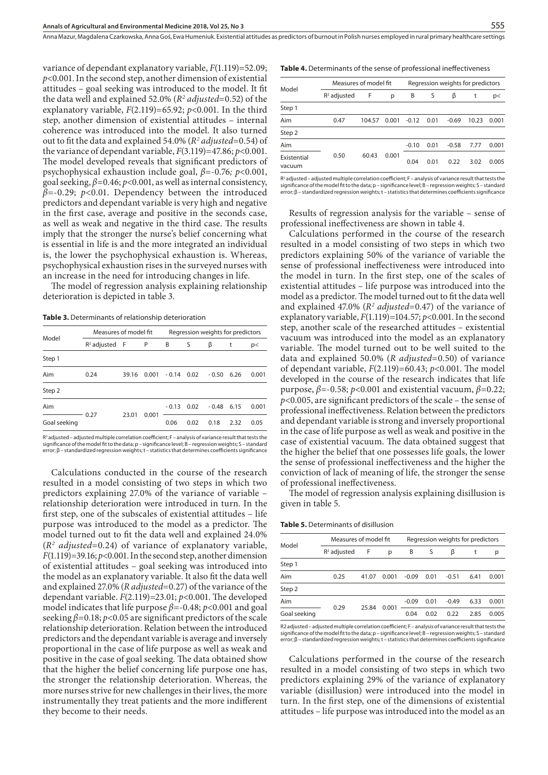variance of dependant explanatory variable, *F*(1.119)=52.09; *p*<0.001. In the second step, another dimension of existential attitudes – goal seeking was introduced to the model. It fit the data well and explained 52.0% (*R2 adjusted*=0.52) of the explanatory variable, *F*(2.119)=65.92; *p*<0.001. In the third step, another dimension of existential attitudes – internal coherence was introduced into the model. It also turned out to fit the data and explained 54.0% (*R2 adjusted*=0.54) of the variance of dependant variable,  $F(3.119)=47.86; p<0.001$ . The model developed reveals that significant predictors of psychophysical exhaustion include goal, *β*=-0.76*; p*<0.001, goal seeking, *β*=0.46; *p*<0.001, as well as internal consistency, *β*=-0.29; *p*<0.01. Dependency between the introduced predictors and dependant variable is very high and negative in the first case, average and positive in the seconds case, as well as weak and negative in the third case. The results imply that the stronger the nurse's belief concerning what is essential in life is and the more integrated an individual is, the lower the psychophysical exhaustion is. Whereas, psychophysical exhaustion rises in the surveyed nurses with an increase in the need for introducing changes in life.

The model of regression analysis explaining relationship deterioration is depicted in table 3.

**Table 3.** Determinants of relationship deterioration

| Model        | Measures of model fit |       |       | Regression weights for predictors |      |         |      |       |
|--------------|-----------------------|-------|-------|-----------------------------------|------|---------|------|-------|
|              | $R^2$ adjusted $F$    |       | P     | B                                 | S    | β       | t    | p     |
| Step 1       |                       |       |       |                                   |      |         |      |       |
| Aim          | 0.24                  | 39.16 | 0.001 | $-0.14$ 0.02                      |      | $-0.50$ | 6.26 | 0.001 |
| Step 2       |                       |       |       |                                   |      |         |      |       |
| Aim          | 0.27                  | 23.01 | 0.001 | $-0.13$                           | 0.02 | $-0.48$ | 6.15 | 0.001 |
| Goal seeking |                       |       |       | 0.06                              | 0.02 | 0.18    | 2.32 | 0.05  |
|              |                       |       |       |                                   |      |         |      |       |

R2 adjusted – adjusted multiple correlation coefficient; F – analysis of variance result that tests the significance of the model fit to the data; p – significance level; B – regression weights; S – standard error; β – standardized regression weights; t – statistics that determines coefficients significance

Calculations conducted in the course of the research resulted in a model consisting of two steps in which two predictors explaining 27.0% of the variance of variable – relationship deterioration were introduced in turn. In the first step, one of the subscales of existential attitudes – life purpose was introduced to the model as a predictor. The model turned out to fit the data well and explained 24.0% (*R2 adjusted*=0.24) of variance of explanatory variable,  $F(1.119)=39.16; p<0.001$ . In the second step, another dimension of existential attitudes – goal seeking was introduced into the model as an explanatory variable. It also fit the data well and explained 27.0% (*R adjusted*=0.27) of the variance of the dependant variable. *F*(2.119)=23.01; *p*<0.001. The developed model indicates that life purpose *β*=-0.48; *p*<0.001 and goal seeking *β*=0.18; *p*<0.05 are significant predictors of the scale relationship deterioration. Relation between the introduced predictors and the dependant variable is average and inversely proportional in the case of life purpose as well as weak and positive in the case of goal seeking. The data obtained show that the higher the belief concerning life purpose one has, the stronger the relationship deterioration. Whereas, the more nurses strive for new challenges in their lives, the more instrumentally they treat patients and the more indifferent they become to their needs.

| Model                 | Measures of model fit |        |       | Regression weights for predictors |      |         |       |       |
|-----------------------|-----------------------|--------|-------|-----------------------------------|------|---------|-------|-------|
|                       | $R2$ adjusted         | F      | р     | В                                 | S    | β       | t     | p<    |
| Step 1                |                       |        |       |                                   |      |         |       |       |
| Aim                   | 0.47                  | 104.57 | 0.001 | $-0.12$                           | 0.01 | $-0.69$ | 10.23 | 0.001 |
| Step 2                |                       |        |       |                                   |      |         |       |       |
| Aim                   |                       |        |       | $-0.10$                           | 0.01 | $-0.58$ | 7.77  | 0.001 |
| Existential<br>vacuum | 0.50                  | 60.43  | 0.001 | 0.04                              | 0.01 | 0.22    | 3.02  | 0.005 |

 $R^2$  adjusted – adjusted multiple correlation coefficient;  $F$  – analysis of variance result that tests the significance of the model fit to the data; p – significance level; B – regression weights; S – standard<br>error; β – standardized regression weights; t – statistics that determines coefficients significance

Results of regression analysis for the variable – sense of professional ineffectiveness are shown in table 4.

Calculations performed in the course of the research resulted in a model consisting of two steps in which two predictors explaining 50% of the variance of variable the sense of professional ineffectiveness were introduced into the model in turn. In the first step, one of the scales of existential attitudes – life purpose was introduced into the model as a predictor. The model turned out to fit the data well and explained 47.0% (*R2 adjusted*=0.47) of the variance of explanatory variable,  $F(1.119)$ =104.57;  $p$ <0.001. In the second step, another scale of the researched attitudes – existential vacuum was introduced into the model as an explanatory variable. The model turned out to be well suited to the data and explained 50.0% (*R adjusted*=0.50) of variance of dependant variable, *F*(2.119)=60.43; *p*<0.001. The model developed in the course of the research indicates that life purpose,  $β = -0.58$ ;  $p < 0.001$  and existential vacuum,  $β = 0.22$ ; *p*<0.005, are significant predictors of the scale – the sense of professional ineffectiveness. Relation between the predictors and dependant variable is strong and inversely proportional in the case of life purpose as well as weak and positive in the case of existential vacuum. The data obtained suggest that the higher the belief that one possesses life goals, the lower the sense of professional ineffectiveness and the higher the conviction of lack of meaning of life, the stronger the sense of professional ineffectiveness.

The model of regression analysis explaining disillusion is given in table 5.

|  | <b>Table 5.</b> Determinants of disillusion |  |
|--|---------------------------------------------|--|
|--|---------------------------------------------|--|

| Model        | Measures of model fit |       |       | Regression weights for predictors |      |         |      |       |
|--------------|-----------------------|-------|-------|-----------------------------------|------|---------|------|-------|
|              | $R2$ adjusted         | – F   | р     | B                                 | S    | β       |      | р     |
| Step 1       |                       |       |       |                                   |      |         |      |       |
| Aim          | 0.25                  | 41.07 | 0.001 | $-0.09$                           | 0.01 | $-0.51$ | 6.41 | 0.001 |
| Step 2       |                       |       |       |                                   |      |         |      |       |
| Aim          | 0.29                  | 25.84 | 0.001 | $-0.09$                           | 0.01 | $-0.49$ | 6.33 | 0.001 |
| Goal seeking |                       |       |       | 0.04                              | 0.02 | 0.22    | 2.85 | 0.005 |

R2 adjusted – adjusted multiple correlation coefficient; F – analysis of variance result that tests the significance of the model fit to the data; p – significance level; B – regression weights; S – standard error; β – standardized regression weights; t – statistics that determines coefficients significance

Calculations performed in the course of the research resulted in a model consisting of two steps in which two predictors explaining 29% of the variance of explanatory variable (disillusion) were introduced into the model in turn. In the first step, one of the dimensions of existential attitudes – life purpose was introduced into the model as an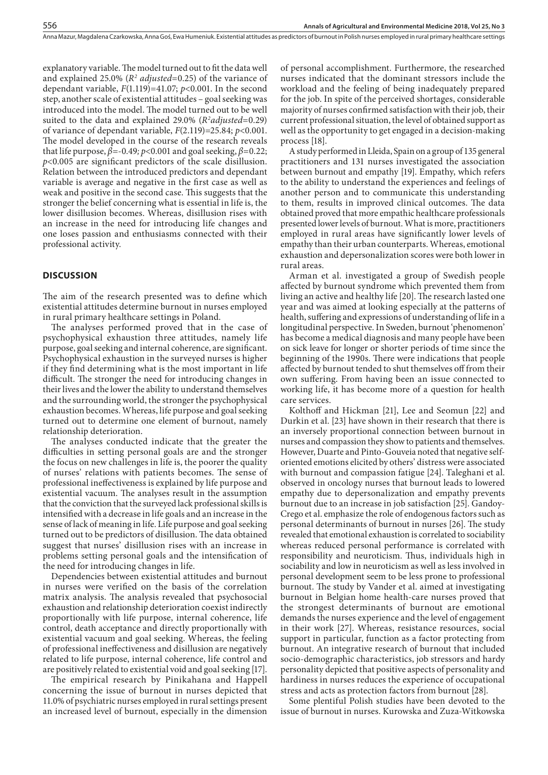explanatory variable. The model turned out to fit the data well and explained 25.0% (*R2 adjusted*=0.25) of the variance of dependant variable,  $F(1.119) = 41.07$ ;  $p < 0.001$ . In the second step, another scale of existential attitudes – goal seeking was introduced into the model. The model turned out to be well suited to the data and explained 29.0% (*R2 adjusted*=0.29) of variance of dependant variable, *F*(2.119)=25.84; *p*<0.001. The model developed in the course of the research reveals that life purpose,  $\beta$ =-0.49;  $p$ <0.001 and goal seeking,  $\beta$ =0.22; *p*<0.005 are significant predictors of the scale disillusion. Relation between the introduced predictors and dependant variable is average and negative in the first case as well as weak and positive in the second case. This suggests that the stronger the belief concerning what is essential in life is, the lower disillusion becomes. Whereas, disillusion rises with an increase in the need for introducing life changes and one loses passion and enthusiasms connected with their professional activity.

# **DISCUSSION**

The aim of the research presented was to define which existential attitudes determine burnout in nurses employed in rural primary healthcare settings in Poland.

The analyses performed proved that in the case of psychophysical exhaustion three attitudes, namely life purpose, goal seeking and internal coherence, are significant. Psychophysical exhaustion in the surveyed nurses is higher if they find determining what is the most important in life difficult. The stronger the need for introducing changes in their lives and the lower the ability to understand themselves and the surrounding world, the stronger the psychophysical exhaustion becomes. Whereas, life purpose and goal seeking turned out to determine one element of burnout, namely relationship deterioration.

The analyses conducted indicate that the greater the difficulties in setting personal goals are and the stronger the focus on new challenges in life is, the poorer the quality of nurses' relations with patients becomes. The sense of professional ineffectiveness is explained by life purpose and existential vacuum. The analyses result in the assumption that the conviction that the surveyed lack professional skills is intensified with a decrease in life goals and an increase in the sense of lack of meaning in life. Life purpose and goal seeking turned out to be predictors of disillusion. The data obtained suggest that nurses' disillusion rises with an increase in problems setting personal goals and the intensification of the need for introducing changes in life.

Dependencies between existential attitudes and burnout in nurses were verified on the basis of the correlation matrix analysis. The analysis revealed that psychosocial exhaustion and relationship deterioration coexist indirectly proportionally with life purpose, internal coherence, life control, death acceptance and directly proportionally with existential vacuum and goal seeking. Whereas, the feeling of professional ineffectiveness and disillusion are negatively related to life purpose, internal coherence, life control and are positively related to existential void and goal seeking [17].

The empirical research by Pinikahana and Happell concerning the issue of burnout in nurses depicted that 11.0% of psychiatric nurses employed in rural settings present an increased level of burnout, especially in the dimension of personal accomplishment. Furthermore, the researched nurses indicated that the dominant stressors include the workload and the feeling of being inadequately prepared for the job. In spite of the perceived shortages, considerable majority of nurses confirmed satisfaction with their job, their current professional situation, the level of obtained support as well as the opportunity to get engaged in a decision-making process [18].

A study performed in Lleida, Spain on a group of 135 general practitioners and 131 nurses investigated the association between burnout and empathy [19]. Empathy, which refers to the ability to understand the experiences and feelings of another person and to communicate this understanding to them, results in improved clinical outcomes. The data obtained proved that more empathic healthcare professionals presented lower levels of burnout. What is more, practitioners employed in rural areas have significantly lower levels of empathy than their urban counterparts. Whereas, emotional exhaustion and depersonalization scores were both lower in rural areas.

Arman et al. investigated a group of Swedish people affected by burnout syndrome which prevented them from living an active and healthy life [20]. The research lasted one year and was aimed at looking especially at the patterns of health, suffering and expressions of understanding of life in a longitudinal perspective. In Sweden, burnout 'phenomenon' has become a medical diagnosis and many people have been on sick leave for longer or shorter periods of time since the beginning of the 1990s. There were indications that people affected by burnout tended to shut themselves off from their own suffering. From having been an issue connected to working life, it has become more of a question for health care services.

Kolthoff and Hickman [21], Lee and Seomun [22] and Durkin et al. [23] have shown in their research that there is an inversely proportional connection between burnout in nurses and compassion they show to patients and themselves. However, Duarte and Pinto-Gouveia noted that negative selforiented emotions elicited by others' distress were associated with burnout and compassion fatigue [24]. Taleghani et al. observed in oncology nurses that burnout leads to lowered empathy due to depersonalization and empathy prevents burnout due to an increase in job satisfaction [25]. Gandoy-Crego et al. emphasize the role of endogenous factors such as personal determinants of burnout in nurses [26]. The study revealed that emotional exhaustion is correlated to sociability whereas reduced personal performance is correlated with responsibility and neuroticism. Thus, individuals high in sociability and low in neuroticism as well as less involved in personal development seem to be less prone to professional burnout. The study by Vander et al. aimed at investigating burnout in Belgian home health-care nurses proved that the strongest determinants of burnout are emotional demands the nurses experience and the level of engagement in their work [27]. Whereas, resistance resources, social support in particular, function as a factor protecting from burnout. An integrative research of burnout that included socio-demographic characteristics, job stressors and hardy personality depicted that positive aspects of personality and hardiness in nurses reduces the experience of occupational stress and acts as protection factors from burnout [28].

Some plentiful Polish studies have been devoted to the issue of burnout in nurses. Kurowska and Zuza-Witkowska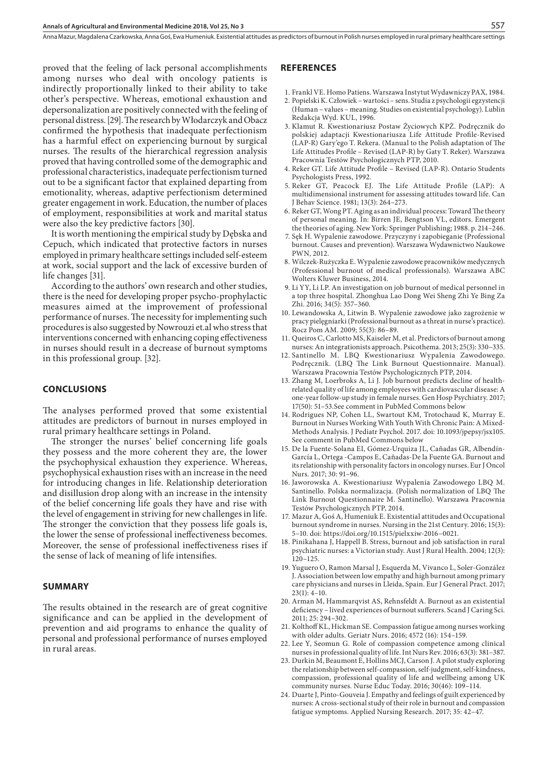proved that the feeling of lack personal accomplishments among nurses who deal with oncology patients is indirectly proportionally linked to their ability to take other's perspective. Whereas, emotional exhaustion and depersonalization are positively connected with the feeling of personal distress. [29]. The research by Włodarczyk and Obacz confirmed the hypothesis that inadequate perfectionism has a harmful effect on experiencing burnout by surgical nurses. The results of the hierarchical regression analysis proved that having controlled some of the demographic and professional characteristics, inadequate perfectionism turned out to be a significant factor that explained departing from emotionality, whereas, adaptive perfectionism determined greater engagement in work. Education, the number of places of employment, responsibilities at work and marital status were also the key predictive factors [30].

It is worth mentioning the empirical study by Dębska and Cepuch, which indicated that protective factors in nurses employed in primary healthcare settings included self-esteem at work, social support and the lack of excessive burden of life changes [31].

According to the authors' own research and other studies, there is the need for developing proper psycho-prophylactic measures aimed at the improvement of professional performance of nurses. The necessity for implementing such procedures is also suggested by Nowrouzi et.al who stress that interventions concerned with enhancing coping effectiveness in nurses should result in a decrease of burnout symptoms in this professional group. [32].

## **CONCLUSIONS**

The analyses performed proved that some existential attitudes are predictors of burnout in nurses employed in rural primary healthcare settings in Poland.

The stronger the nurses' belief concerning life goals they possess and the more coherent they are, the lower the psychophysical exhaustion they experience. Whereas, psychophysical exhaustion rises with an increase in the need for introducing changes in life. Relationship deterioration and disillusion drop along with an increase in the intensity of the belief concerning life goals they have and rise with the level of engagement in striving for new challenges in life. The stronger the conviction that they possess life goals is, the lower the sense of professional ineffectiveness becomes. Moreover, the sense of professional ineffectiveness rises if the sense of lack of meaning of life intensifies.

## **SUMMARY**

The results obtained in the research are of great cognitive significance and can be applied in the development of prevention and aid programs to enhance the quality of personal and professional performance of nurses employed in rural areas.

#### **REFERENCES**

- 1. Frankl VE. Homo Patiens. Warszawa Instytut Wydawniczy PAX, 1984.
- 2. Popielski K. Człowiek wartości sens. Studia z psychologii egzystencji (Human – values – meaning. Studies on existential psychology). Lublin Redakcja Wyd. KUL, 1996.
- 3. Klamut R. Kwestionariusz Postaw Życiowych KPŻ. Podręcznik do polskiej adaptacji Kwestionariusza Life Attitude Profile-Revised (LAP-R) Gary'ego T. Rekera. (Manual to the Polish adaptation of The Life Attitudes Profile – Revised (LAP-R) by Gaty T. Reker). Warszawa Pracownia Testów Psychologicznych PTP, 2010.
- 4. Reker GT. Life Attitude Profile Revised (LAP-R). Ontario Students Psychologists Press, 1992.
- 5. Reker GT, Peacock EJ. The Life Attitude Profile (LAP): A multidimensional instrument for assessing attitudes toward life. Can J Behav Science. 1981; 13(3): 264–273.
- 6. Reker GT, Wong PT. Aging as an individual process: Toward The theory of personal meaning. In: Birren JE, Bengtson VL, editors. Emergent the theories of aging. New York: Springer Publishing; 1988. p. 214–246.
- 7. Sęk H. Wypalenie zawodowe. Przyczyny i zapobieganie (Professional burnout. Causes and prevention). Warszawa Wydawnictwo Naukowe PWN, 2012.
- 8. Wilczek-Rużyczka E. Wypalenie zawodowe pracowników medycznych (Professional burnout of medical professionals). Warszawa ABC Wolters Kluwer Business, 2014.
- 9. Li YY, Li LP. An investigation on job burnout of medical personnel in a top three hospital. Zhonghua Lao Dong Wei Sheng Zhi Ye Bing Za Zhi. 2016; 34(5): 357–360.
- 10. Lewandowska A, Litwin B. Wypalenie zawodowe jako zagrożenie w pracy pielęgniarki (Professional burnout as a threat in nurse's practice). Rocz Pom AM. 2009; 55(3): 86–89.
- 11. Queiros C, Carlotto MS, Kaiseler M, et al. Predictors of burnout among nurses: An integrationists approach. Psicothema. 2013; 25(3): 330–335.
- 12. Santinello M. LBQ Kwestionariusz Wypalenia Zawodowego. Podręcznik. (LBQ The Link Burnout Questionnaire. Manual). Warszawa Pracownia Testów Psychologicznych PTP, 2014.
- 13. Zhang M, Loerbroks A, Li J. Job burnout predicts decline of healthrelated quality of life among employees with cardiovascular disease: A one-year follow-up study in female nurses. Gen Hosp Psychiatry. 2017; 17(50): 51–53.See comment in PubMed Commons below
- 14. Rodrigues NP, Cohen LL, Swartout KM, Trotochaud K, Murray E. Burnout in Nurses Working With Youth With Chronic Pain: A Mixed-Methods Analysis. J Pediatr Psychol. 2017. doi: 10.1093/jpepsy/jsx105. See comment in PubMed Commons below
- 15. De la Fuente-Solana EI, Gómez-Urquiza JL, Cañadas GR, Albendín-García L, Ortega -Campos E, Cañadas-De la Fuente GA. Burnout and its relationship with personality factors in oncology nurses. Eur J Oncol Nurs. 2017; 30: 91–96.
- 16. Jaworowska A. Kwestionariusz Wypalenia Zawodowego LBQ M. Santinello. Polska normalizacja. (Polish normalization of LBQ The Link Burnout Questionnaire M. Santinello). Warszawa Pracownia Testów Psychologicznych PTP, 2014.
- 17. Mazur A, Goś A, Humeniuk E. Existential attitudes and Occupational burnout syndrome in nurses. Nursing in the 21st Century. 2016; 15(3): 5–10. doi: https://doi.org/10.1515/pielxxiw-2016–0021.
- 18. Pinikahana J, Happell B. Stress, burnout and job satisfaction in rural psychiatric nurses: a Victorian study. Aust J Rural Health. 2004; 12(3): 120–125.
- 19. Yuguero O, Ramon Marsal J, Esquerda M, Vivanco L, Soler-González J. Association between low empathy and high burnout among primary care physicians and nurses in Lleida, Spain. Eur J General Pract. 2017;  $23(1): 4-10$
- 20. Arman M, Hammarqvist AS, Rehnsfeldt A. Burnout as an existential deficiency – lived experiences of burnout sufferers. Scand J Caring Sci. 2011; 25: 294–302.
- 21. Kolthoff KL, Hickman SE. Compassion fatigue among nurses working with older adults. Geriatr Nurs. 2016; 4572 (16): 154–159.
- 22. Lee Y, Seomun G. Role of compassion competence among clinical nurses in professional quality of life. Int Nurs Rev. 2016; 63(3): 381–387.
- 23. Durkin M, Beaumont E, Hollins MCJ, Carson J. A pilot study exploring the relationship between self-compassion, self-judgment, self-kindness, compassion, professional quality of life and wellbeing among UK community nurses. Nurse Educ Today. 2016; 30(46): 109–114.
- 24. Duarte J, Pinto-Gouveia J. Empathy and feelings of guilt experienced by nurses: A cross-sectional study of their role in burnout and compassion fatigue symptoms. Applied Nursing Research. 2017; 35: 42–47.